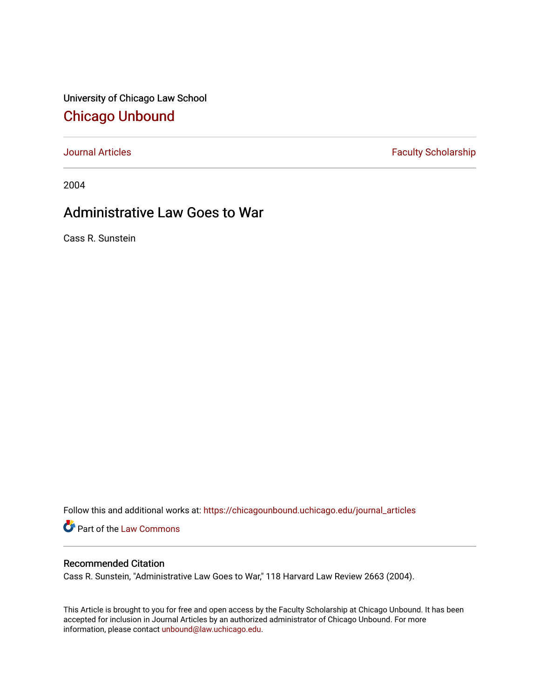University of Chicago Law School [Chicago Unbound](https://chicagounbound.uchicago.edu/)

[Journal Articles](https://chicagounbound.uchicago.edu/journal_articles) **Faculty Scholarship Faculty Scholarship** 

2004

# Administrative Law Goes to War

Cass R. Sunstein

Follow this and additional works at: [https://chicagounbound.uchicago.edu/journal\\_articles](https://chicagounbound.uchicago.edu/journal_articles?utm_source=chicagounbound.uchicago.edu%2Fjournal_articles%2F8280&utm_medium=PDF&utm_campaign=PDFCoverPages) 

Part of the [Law Commons](http://network.bepress.com/hgg/discipline/578?utm_source=chicagounbound.uchicago.edu%2Fjournal_articles%2F8280&utm_medium=PDF&utm_campaign=PDFCoverPages)

# Recommended Citation

Cass R. Sunstein, "Administrative Law Goes to War," 118 Harvard Law Review 2663 (2004).

This Article is brought to you for free and open access by the Faculty Scholarship at Chicago Unbound. It has been accepted for inclusion in Journal Articles by an authorized administrator of Chicago Unbound. For more information, please contact [unbound@law.uchicago.edu](mailto:unbound@law.uchicago.edu).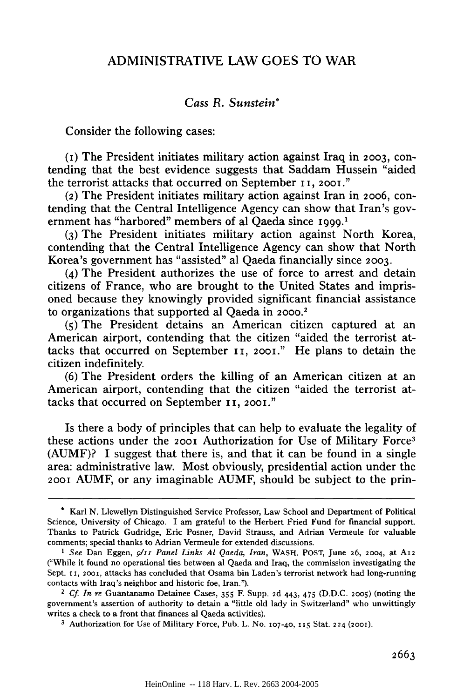# ADMINISTRATIVE LAW **GOES** TO WAR

# *Cass* **R.** *Sunstein\**

Consider the following cases:

**(i)** The President initiates military action against Iraq in **2003,** contending that the best evidence suggests that Saddam Hussein "aided the terrorist attacks that occurred on September **i i,** 2001."

(2) The President initiates military action against Iran in **2006,** contending that the Central Intelligence Agency can show that Iran's government has "harbored" members of al Qaeda since 1999.<sup>1</sup>

**(3)** The President initiates military action against North Korea, contending that the Central Intelligence Agency can show that North Korea's government has "assisted" al Qaeda financially since **2003.**

**(4)** The President authorizes the use of force to arrest and detain citizens of France, who are brought to the United States and imprisoned because they knowingly provided significant financial assistance to organizations that supported al Qaeda in 2000.2

**(5)** The President detains an American citizen captured at an American airport, contending that the citizen "aided the terrorist attacks that occurred on September **ii,** 2001." He plans to detain the citizen indefinitely.

**(6)** The President orders the killing of an American citizen at an American airport, contending that the citizen "aided the terrorist attacks that occurred on September I **i, 2001."**

Is there a body of principles that can help to evaluate the legality of these actions under the **200i** Authorization for Use of Military Force<sup>3</sup> **(AUMF)? I** suggest that there is, and that it can be found in a single area: administrative law. Most obviously, presidential action under the **200i AUMF,** or any imaginable **AUMF,** should be subject to the prin-

**<sup>\*</sup>** Karl **N.** Llewellyn Distinguished Service Professor, Law School and Department of Political Science, University of Chicago. I am grateful to the Herbert Fried Fund for financial support. Thanks to Patrick Gudridge, Eric Posner, David Strauss, and Adrian Vermeule for valuable comments; special thanks to Adrian Vermeule for extended discussions.

*I See* Dan Eggen, 9111 *Panel Links Al Qaeda, Iran,* WASH. **POST,** June **26,** 2004, at **A12** ("While it found no operational ties between al Qaeda and Iraq, the commission investigating the Sept. 11, 2001, attacks has concluded that Osama bin Laden's terrorist network had long-running contacts with Iraq's neighbor and historic foe, Iran.").

*<sup>2</sup> Cf. In re* Guantanamo Detainee Cases, **355** F. **Supp. 2d** 443, 475 **(D.D.C. 2005)** (noting the government's assertion of authority to detain a "little old lady in Switzerland" who unwittingly writes a check to a front that finances al Qaeda activities).

**<sup>3</sup>** Authorization for Use of Military Force, Pub. L. No. 107-40, **15** Stat. 224 (2001).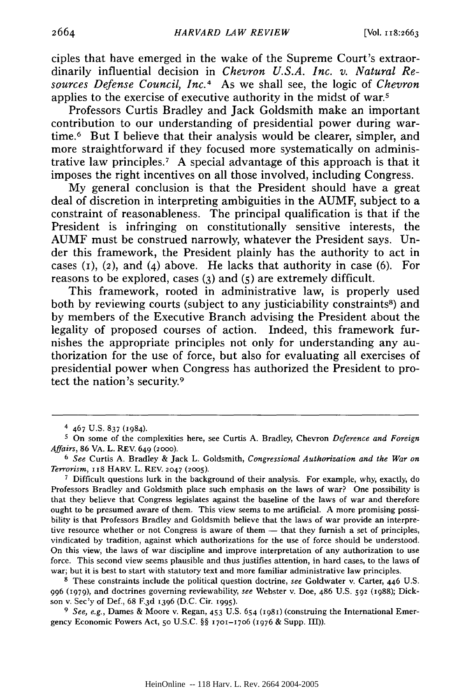ciples that have emerged in the wake of the Supreme Court's extraordinarily influential decision in *Chevron U.S.A. Inc. v. Natural Resources Defense Council, Inc. <sup>4</sup>*As we shall see, the logic of *Chevron* applies to the exercise of executive authority in the midst of war.5

Professors Curtis Bradley and Jack Goldsmith make an important contribution to our understanding of presidential power during wartime.6 But I believe that their analysis would be clearer, simpler, and more straightforward if they focused more systematically on administrative law principles.<sup>7</sup> A special advantage of this approach is that it imposes the right incentives on all those involved, including Congress.

My general conclusion is that the President should have a great deal of discretion in interpreting ambiguities in the AUMF, subject to a constraint of reasonableness. The principal qualification is that if the President is infringing on constitutionally sensitive interests, the AUMF must be construed narrowly, whatever the President says. Under this framework, the President plainly has the authority to act in cases  $(1)$ ,  $(2)$ , and  $(4)$  above. He lacks that authority in case  $(6)$ . For reasons to be explored, cases **(3)** and (5) are extremely difficult.

This framework, rooted in administrative law, is properly used both by reviewing courts (subject to any justiciability constraints<sup>8</sup>) and by members of the Executive Branch advising the President about the legality of proposed courses of action. Indeed, this framework furnishes the appropriate principles not only for understanding any authorization for the use of force, but also for evaluating all exercises of presidential power when Congress has authorized the President to protect the nation's security.9

**7** Difficult questions lurk in the background of their analysis. For example, why, exactly, do Professors Bradley and Goldsmith place such emphasis on the laws of war? One possibility is that they believe that Congress legislates against the baseline of the laws of war and therefore ought to be presumed aware of them. This view seems to me artificial. A more promising possibility is that Professors Bradley and Goldsmith believe that the laws of war provide an interpretive resource whether or not Congress is aware of them  $-$  that they furnish a set of principles, vindicated **by** tradition, against which authorizations for the use of force should be understood. On this view, the laws of war discipline and improve interpretation of any authorization to use force. This second view seems plausible and thus justifies attention, in hard cases, to the laws of war; but it is best to start with statutory text and more familiar administrative law principles.

**8** These constraints include the political question doctrine, *see* Goldwater v. Carter, 446 U.S. 996 (979), and doctrines governing reviewability, *see* Webster v. Doe, 486 U.S. **592** (1988); Dickson v. Sec'y of Def., 68 F.3d 1396 (D.C. Cir. 1995).

*9 See, e.g.,* Dames & Moore v. Regan, 453 U.S. 654 (1981) (construing the International Emergency Economic Powers Act, **50** U.S.C. §§ 1701-17o6 *(1976* & Supp. i1)).

<sup>4 467</sup> U.S. 837 (1984).

**<sup>5</sup>** On some of the complexities here, see Curtis A. Bradley, Chevron *Deference and Foreign Affairs,* 86 VA. L. REV. 649 (2o0o).

**<sup>6</sup>** *See* Curtis A. Bradley & Jack L. Goldsmith, *Congressional Authorization and the War on Terrorism,* **118 HARV.** L. REV. 2047 **(2oo5).**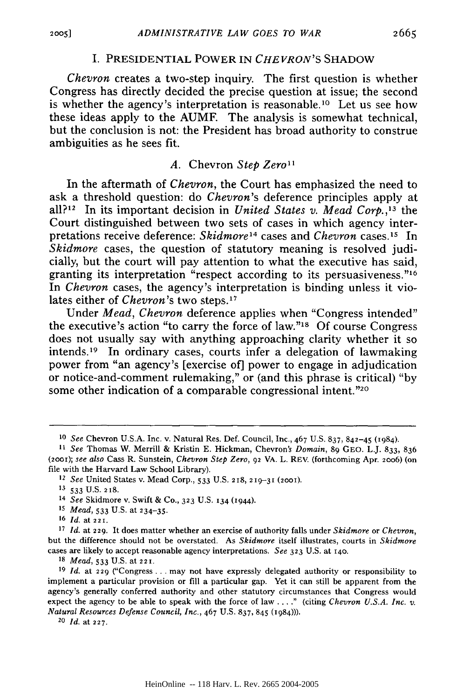#### I. PRESIDENTIAL POWER IN *CHEVRON'S* SHADOW

*Chevron* creates a two-step inquiry. The first question is whether Congress has directly decided the precise question at issue; the second is whether the agency's interpretation is reasonable.10 Let us see how these ideas apply to the AUMF. The analysis is somewhat technical, but the conclusion is not: the President has broad authority to construe ambiguities as he sees fit.

#### *A.* Chevron *Step Zero1*

In the aftermath of *Chevron,* the Court has emphasized the need to ask a threshold question: do *Chevron's* deference principles apply at all? 2 In its important decision in *United States v. Mead Corp. ,13* the Court distinguished between two sets of cases in which agency interpretations receive deference: *Skidmore 4* cases and *Chevron* cases.15 In *Skidmore* cases, the question of statutory meaning is resolved judicially, but the court will pay attention to what the executive has said, granting its interpretation "respect according to its persuasiveness."<sup>16</sup> In *Chevron* cases, the agency's interpretation is binding unless it violates either of *Chevron's* two steps.<sup>17</sup>

Under *Mead, Chevron* deference applies when "Congress intended" the executive's action "to carry the force of law." $18$  Of course Congress does not usually say with anything approaching clarity whether it so intends.<sup>19</sup> In ordinary cases, courts infer a delegation of lawmaking power from "an agency's [exercise of] power to engage in adjudication or notice-and-comment rulemaking," or (and this phrase is critical) "by some other indication of a comparable congressional intent."<sup>20</sup>

*<sup>18</sup>Mead,* **533** U.S. at **221.**

*<sup>10</sup>See* Chevron U.S.A. Inc. v. Natural Res. Def. Council, Inc., 467 U.S. **837,** 842-45 (1984).

*<sup>11</sup> See* Thomas W. Merrill & Kristin E. Hickman, Chevron's *Domain,* **89** GEO. L.J. 833, 836 *(2001); see also* Cass R. Sunstein, *Chevron Step Zero,* 92 VA. L. REV. (forthcoming Apr. **2006)** (on file with the Harvard Law School Library).

<sup>12</sup>*See* United States v. Mead Corp., 533 U.S. 218, **219-31 (2001). 13 533 U.S. 2 18.**

<sup>14</sup>*See* Skidmore v. Swift & Co., **323** U.S. **134** (1944).

**<sup>15</sup>** *Mead,* 533 U.S. at 234-35.

**<sup>16</sup>***Id.* at **221.**

**<sup>17</sup>** *Id.* at **229.** It does matter whether an exercise of authority falls under *Skidmore* or *Chevron,* but the difference should not be overstated. As *Skidmore* itself illustrates, courts in *Skidmore* cases are likely to accept reasonable agency interpretations. *See* **323** U.S. at 140.

**<sup>19</sup>***Id.* at 229 ("Congress ... may not have expressly delegated authority or responsibility to implement a particular provision or fill a particular gap. Yet it can still be apparent from the agency's generally conferred authority and other statutory circumstances that Congress would expect the agency to be able to speak with the force of law . .. **."** (citing *Chevron U.S.A. Inc. v. Natural Resources Defense Council, Inc.,* 467 U.S. 837, 845 **(1984))).**

**<sup>20</sup>***Id.* at **227.**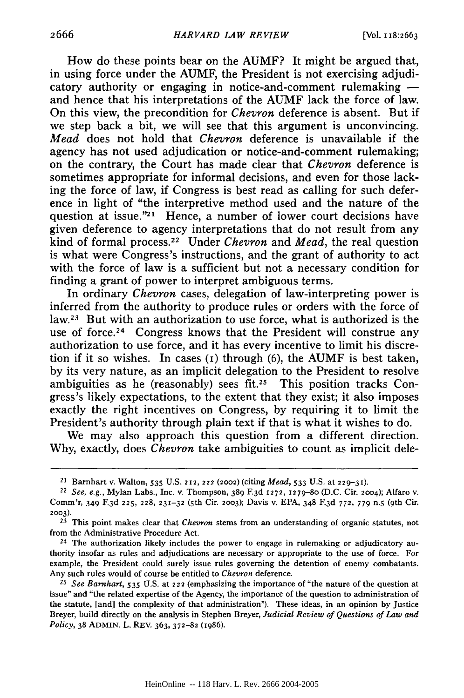How do these points bear on the AUMF? It might be argued that, in using force under the AUMF, the President is not exercising adjudicatory authority or engaging in notice-and-comment rulemaking  and hence that his interpretations of the AUMF lack the force of law. On this view, the precondition for *Chevron* deference is absent. But if we step back a bit, we will see that this argument is unconvincing. *Mead* does not hold that *Chevron* deference is unavailable if the agency has not used adjudication or notice-and-comment rulemaking; on the contrary, the Court has made clear that *Chevron* deference is sometimes appropriate for informal decisions, and even for those lacking the force of law, if Congress is best read as calling for such deference in light of "the interpretive method used and the nature of the question at issue.<sup> $n_{21}$ </sup> Hence, a number of lower court decisions have given deference to agency interpretations that do not result from any kind of formal process.<sup>22</sup> Under *Chevron* and *Mead*, the real question is what were Congress's instructions, and the grant of authority to act with the force of law is a sufficient but not a necessary condition for finding a grant of power to interpret ambiguous terms.

In ordinary *Chevron* cases, delegation of law-interpreting power is inferred from the authority to produce rules or orders with the force of law.<sup>23</sup> But with an authorization to use force, what is authorized is the use of force.<sup>24</sup> Congress knows that the President will construe any authorization to use force, and it has every incentive to limit his discretion if it so wishes. In cases  $(1)$  through  $(6)$ , the AUMF is best taken, by its very nature, as an implicit delegation to the President to resolve ambiguities as he (reasonably) sees fit.25 This position tracks Congress's likely expectations, to the extent that they exist; it also imposes exactly the right incentives on Congress, by requiring it to limit the President's authority through plain text if that is what it wishes to do.

We may also approach this question from a different direction. Why, exactly, does *Chevron* take ambiguities to count as implicit dele-

**<sup>21</sup>**Barnhart v. Walton, **535 U.S. 212, 222 (2002)** (citing *Mead,* **533 U.S.** at **229-31).**

*<sup>22</sup>*See, e.g., Mylan Labs., Inc. v. Thompson, **389** F.3 d **1272, 1279-8o** (D.C. Cir. **2004);** Alfaro v. Comm'r, 349 F.3 d **225, 228, 231-32** (5 th Cir. **2003);** Davis v. EPA, 348 F.3 <sup>d</sup>**772,** 779 n.5 (9th Cir. **2003).**

**<sup>23</sup>**This point makes clear that *Chevron* stems from an understanding of organic statutes, not from the Administrative Procedure Act.

**<sup>24</sup>** The authorization likely includes the power to engage in rulemaking or adjudicatory authority insofar as rules and adjudications are necessary or appropriate to the use of force. For example, the President could surely issue rules governing the detention of enemy combatants. Any such rules would of course be entitled to *Chevron* deference.

**<sup>25</sup>***See Barnhart,* 535 U.S. at **222** (emphasizing the importance of "the nature of the question at issue" and "the related expertise of the Agency, the importance of the question to administration of the statute, [and] the complexity of that administration"). These ideas, in an opinion by Justice Breyer, build directly on the analysis in Stephen Breyer, *Judicial Review of Questions of Law and Policy,* **38** ADMIN. L. REV. **363,372-82** (1986).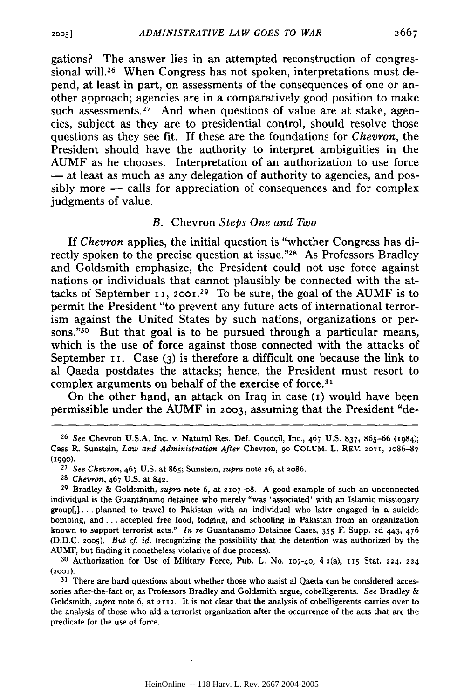gations? The answer lies in an attempted reconstruction of congressional will.<sup>26</sup> When Congress has not spoken, interpretations must depend, at least in part, on assessments of the consequences of one or another approach; agencies are in a comparatively good position to make such assessments.<sup>27</sup> And when questions of value are at stake, agencies, subject as they are to presidential control, should resolve those questions as they see fit. If these are the foundations for *Chevron,* the President should have the authority to interpret ambiguities in the AUMF as he chooses. Interpretation of an authorization to use force **-** at least as much as any delegation of authority to agencies, and possibly more - calls for appreciation of consequences and for complex judgments of value.

#### *B.* Chevron *Steps One and Two*

If *Chevron* applies, the initial question is "whether Congress has directly spoken to the precise question at issue."<sup>28</sup> As Professors Bradley and Goldsmith emphasize, the President could not use force against nations or individuals that cannot plausibly be connected with the attacks of September *ii,* **2001.29** To be sure, the goal of the AUMF is to permit the President "to prevent any future acts of international terrorism against the United States by such nations, organizations or persons."30 But that goal is to be pursued through a particular means, which is the use of force against those connected with the attacks of September **11.** Case (3) is therefore a difficult one because the link to al Qaeda postdates the attacks; hence, the President must resort to complex arguments on behalf of the exercise of force.<sup>31</sup>

On the other hand, an attack on Iraq in case (i) would have been permissible under the AUMF in **2003,** assuming that the President "de-

<sup>26</sup>*See* Chevron U.S.A. Inc. v. Natural Res. Def. Council, Inc., 467 U.S. 837, 865-66 (1984); Cass R. Sunstein, *Law and Administration After* Chevron, **go COLUM.** L. REV. **2071,** 2086-87 **(199o).**

<sup>27</sup>*See Chevron,* 467 U.S. at 865; Sunstein, *supra* note 26, at 2086.

*<sup>28</sup>Chevron,* 467 U.S. at 842.

<sup>29</sup> Bradley & Goldsmith, *supra* note 6, at 2 Io7-o8. **A** good example of such an unconnected individual is the Guantánamo detainee who merely "was 'associated' with an Islamic missionary group[,]... planned to travel to Pakistan with an individual who later engaged in a suicide bombing, and.. **.** accepted free food, lodging, and schooling in Pakistan from an organization known to support terrorist acts." *In re* Guantanamo Detainee Cases, **355** F. Supp. 2d 443, 476 (D.D.C. 2oo5). *But cf. id.* (recognizing the possibility that the detention was authorized by the AUMF, but finding it nonetheless violative of due process).

<sup>30</sup> Authorization for Use of Military Force, Pub. L. No. **I07-40,** § 2(a), **115** Stat. 224, 224 **(200i).**

**<sup>31</sup>** There are hard questions about whether those who assist al Qaeda can be considered accessories after-the-fact or, as Professors Bradley and Goldsmith argue, cobelligerents. *See* Bradley & Goldsmith, *supra* note 6, at 2112. It **is not** clear that **the** analysis of cobelligerents **carries** over **to** the analysis of those who aid a terrorist organization after the occurrence of the acts that are the predicate for the use of force.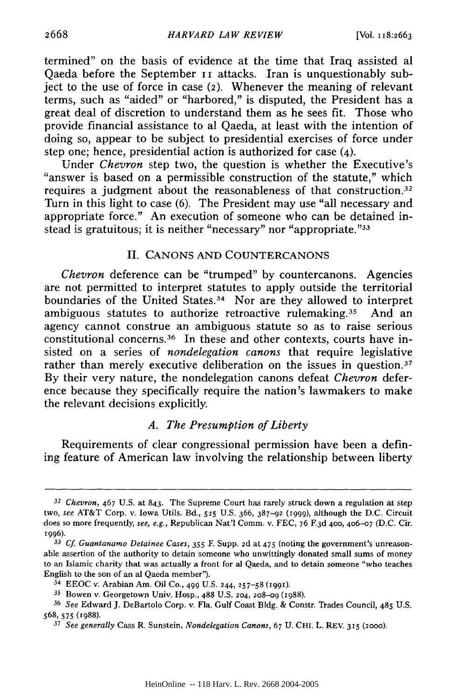termined" on the basis of evidence at the time that Iraq assisted al Qaeda before the September II attacks. Iran is unquestionably subject to the use of force in case (2). Whenever the meaning of relevant terms, such as "aided" or "harbored," is disputed, the President has a great deal of discretion to understand them as he sees fit. Those who provide financial assistance to al Qaeda, at least with the intention of doing so, appear to be subject to presidential exercises of force under step one; hence, presidential action is authorized for case (4).

Under *Chevron* step two, the question is whether the Executive's "answer is based on a permissible construction of the statute," which requires a judgment about the reasonableness of that construction. <sup>32</sup> Turn in this light to case (6). The President may use "all necessary and appropriate force." An execution of someone who can be detained instead is gratuitous; it is neither "necessary" nor "appropriate. "33

# II. CANONS AND COUNTERCANONS

*Chevron* deference can be "trumped" by countercanons. Agencies are not permitted to interpret statutes to apply outside the territorial boundaries of the United States.34 Nor are they allowed to interpret ambiguous statutes to authorize retroactive rulemaking.<sup>35</sup> And an agency cannot construe an ambiguous statute so as to raise serious constitutional concerns.<sup>36</sup> In these and other contexts, courts have insisted on a series of *nondelegation canons* that require legislative rather than merely executive deliberation on the issues in question.<sup>37</sup> By their very nature, the nondelegation canons defeat *Chevron* deference because they specifically require the nation's lawmakers to make the relevant decisions explicitly.

## *A. The Presumption of Liberty*

Requirements of clear congressional permission have been a defining feature of American law involving the relationship between liberty

<sup>32</sup>*Chevron,* 467 U.S. at 843. The Supreme Court has rarely struck down a regulation at step two, *see* AT&T Corp. v. Iowa Utils. Bd., 525 U.S. 366, 387-92 (i999), although the D.C. Circuit does so more frequently, see, e.g., Republican Nat'l Comm. v. FEC, 76 **<sup>F</sup> <sup>3</sup> d** 400, 4o6-o7 (D.C. Cir. 1996).

**<sup>33</sup>** *Cf Guantanamo Detainee Cases,* **355 E** Supp. 2d at 475 (noting the government's unreasonable assertion of the authority to detain someone who unwittingly donated small sums of money to an Islamic charity that was actually a front for al Qaeda, and to detain someone "who teaches English to the son of an al Qaeda member").

<sup>34</sup>EEOC v. Arabian Am. Oil Co., 499 U.S. 244, **257-58** (199).

<sup>35</sup> Bowen v. Georgetown Univ. Hosp., **488** U.S. 204, **208-09** (1988).

<sup>36</sup>*See* Edward J. DeBartolo Corp. v. Fla. Gulf Coast **Bldg.** & Constr. Trades Council, 485 U.S. 568, **575** (1988).

**<sup>37</sup>** *See generally* Cass R. Sunstein, *Nondelegation Canons,* 67 U. CHI. L. REV. 315 (2000).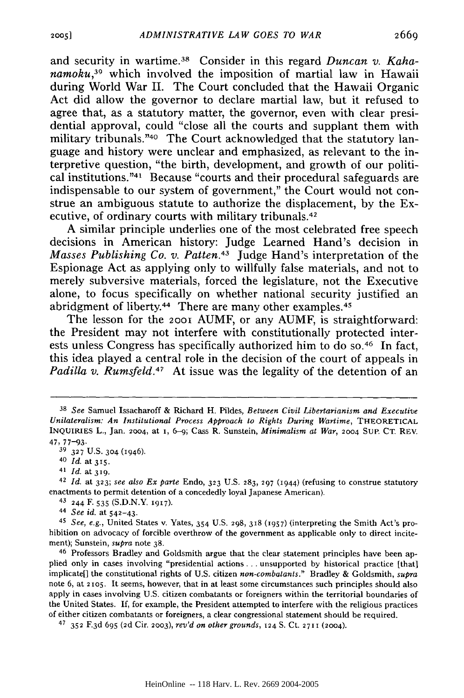and security in wartime. 38 Consider in this regard *Duncan v. Kaha* $namoku<sub>39</sub>$  which involved the imposition of martial law in Hawaii during World War II. The Court concluded that the Hawaii Organic Act did allow the governor to declare martial law, but it refused to agree that, as a statutory matter, the governor, even with clear presidential approval, could "close all the courts and supplant them with military tribunals."<sup>40</sup> The Court acknowledged that the statutory language and history were unclear and emphasized, as relevant to the interpretive question, "the birth, development, and growth of our political institutions. '4I Because "courts and their procedural safeguards are indispensable to our system of government," the Court would not construe an ambiguous statute to authorize the displacement, by the Executive, of ordinary courts with military tribunals.<sup>42</sup>

A similar principle underlies one of the most celebrated free speech decisions in American history: Judge Learned Hand's decision in *Masses Publishing Co. v. Patten.43* Judge Hand's interpretation of the Espionage Act as applying only to willfully false materials, and not to merely subversive materials, forced the legislature, not the Executive alone, to focus specifically on whether national security justified an abridgment of liberty.<sup>44</sup> There are many other examples.<sup>45</sup>

The lesson for the 2001 **AUMF,** or any **AUMF,** is straightforward: the President may not interfere with constitutionally protected interests unless Congress has specifically authorized him to do so.<sup>46</sup> In fact, this idea played a central role in the decision of the court of appeals in *Padilla v. Rumsfeld.47* At issue was the legality of the detention of an

<sup>42</sup>*Id.* at **323;** *see also Ex parte* Endo, **323** U.S. **283, 297** (1944) (refusing to construe statutory enactments to permit detention of a concededly loyal Japanese American).

43 244 F. **535** (S.D.N.Y. **1917).**

<sup>44</sup>*See id.* at 542-43.

<sup>45</sup>*See, e.g.,* United States v. Yates, 354 U.S. **298, 318** 0957) (interpreting the Smith Act's prohibition on advocacy of forcible overthrow of the government as applicable only to direct incitement); Sunstein, *supra* note 38.<br><sup>46</sup> Professors Bradley and Goldsmith argue that the clear statement principles have been ap-

plied only in cases involving "presidential actions **...** unsupported by historical practice [that] implicate[] the constitutional rights of U.S. citizen *non-combatants."* Bradley & Goldsmith, *supra* note 6, at **2105.** It seems, however, that in at least some circumstances such principles should also apply in cases involving U.S. citizen combatants or foreigners within the territorial boundaries of the United States. If, for example, the President attempted to interfere with the religious practices of either citizen combatants or foreigners, a clear congressional statement should be required.

47 **352** F.3 d 695 (2d Cir. **2003),** *rev'd on other grounds,* 124 S. Ct. **2711** (2004).

**<sup>38</sup>***See* Samuel Issacharoff & Richard H. Pildes, *Between Civil Libertarianism and Executive Unilateralism: An Institutional Process Approach to Rights During Wartime, THEORETICAL* INQUIRIES L., Jan. **2004,** at 1, 6-9; Cass R. Sunstein, *Minimalism at War, 2004* SuP. CT. REV. *47,* 77-93.

**<sup>39</sup>327** U.S. 304 (1946).

<sup>40</sup>*Id.* at **315.**

<sup>41</sup>*Id.* at **319.**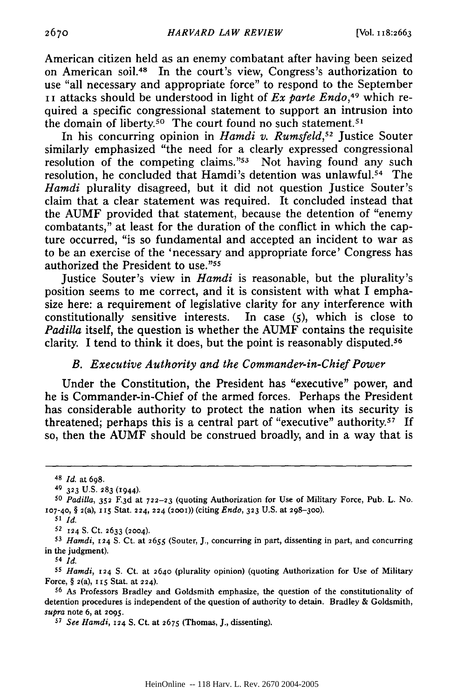American citizen held as an enemy combatant after having been seized on American soil.48 In the court's view, Congress's authorization to use "all necessary and appropriate force" to respond to the September i i attacks should be understood in light of *Ex parte Endo,49* which required a specific congressional statement to support an intrusion into the domain of liberty.<sup>50</sup> The court found no such statement.<sup>51</sup>

In his concurring opinion in *Hamdi v. Rumsfeld*,<sup>52</sup> Justice Souter similarly emphasized "the need for a clearly expressed congressional resolution of the competing claims.<sup> $n_{53}$ </sup> Not having found any such resolution, he concluded that Hamdi's detention was unlawful.<sup>54</sup> The *Hamdi* plurality disagreed, but it did not question Justice Souter's claim that a clear statement was required. It concluded instead that the AUMF provided that statement, because the detention of "enemy combatants," at least for the duration of the conflict in which the capture occurred, "is so fundamental and accepted an incident to war as to be an exercise of the 'necessary and appropriate force' Congress has authorized the President to use."55

Justice Souter's view in *Hamdi* is reasonable, but the plurality's position seems to me correct, and it is consistent with what I emphasize here: a requirement of legislative clarity for any interference with constitutionally sensitive interests. In case (5), which is close to *Padilla* itself, the question is whether the AUMF contains the requisite clarity. I tend to think it does, but the point is reasonably disputed.<sup>56</sup>

## *B. Executive Authority and the Commander-in-Chief Power*

Under the Constitution, the President has "executive" power, and he is Commander-in-Chief of the armed forces. Perhaps the President has considerable authority to protect the nation when its security is threatened; perhaps this is a central part of "executive" authority.57 If so, then the AUMF should be construed broadly, and in a way that is

*<sup>55</sup>Hamdi,* 124 **S.** Ct. at 2640 (plurality opinion) (quoting Authorization for Use of Military Force, § 2(a), **i15** Stat. at 224).

56 As Professors Bradley and Goldsmith emphasize, the question of the constitutionality of detention procedures is independent of the question of authority to detain. Bradley & Goldsmith, *supra* note 6, at **2095.**

*<sup>57</sup>See Hamdi,* 124 **S.** Ct. at 2675 (Thomas, J., dissenting).

**<sup>48</sup>***Id.* at 698.

<sup>49 323</sup> U.S. 283 (1944).

*<sup>50</sup>Padilla,* **352 F.3 <sup>d</sup>**at **722-23** (quoting Authorization for Use of Military Force, Pub. L. No. **107-40,** § 2(a), i5 Stat. 224, **224 (2001))** (citing *Endo,* **323** U.S. at **298-300).**

*<sup>51</sup> Id.*

*<sup>52</sup>***124 S.** Ct. 2633 (2004).

*<sup>53</sup>Hamdi,* 124 **S.** Ct. at 2655 (Souter, J., concurring in part, dissenting in part, and concurring in the judgment).

*<sup>54</sup> Id.*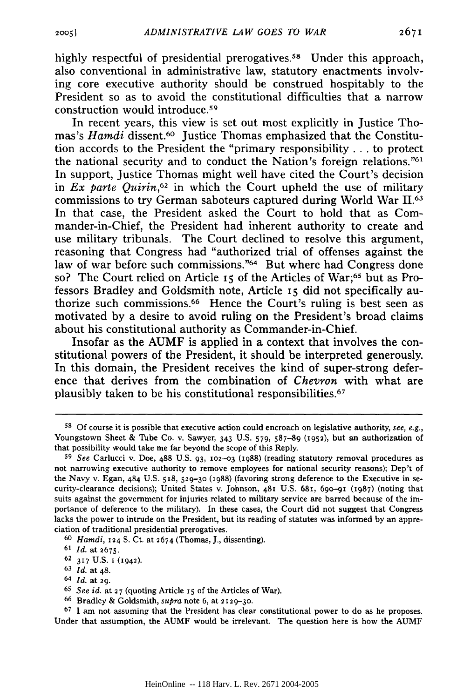highly respectful of presidential prerogatives.<sup>58</sup> Under this approach, also conventional in administrative law, statutory enactments involving core executive authority should be construed hospitably to the President so as to avoid the constitutional difficulties that a narrow construction would introduce.<sup>59</sup>

In recent years, this view is set out most explicitly in Justice Thomas's *Hamdi* dissent.<sup>60</sup> Justice Thomas emphasized that the Constitution accords to the President the "primary responsibility **...** to protect the national security and to conduct the Nation's foreign relations.<sup>"61</sup> In support, Justice Thomas might well have cited the Court's decision in *Ex parte Quirin,62* in which the Court upheld the use of military commissions to try German saboteurs captured during World War **11.63** In that case, the President asked the Court to hold that as Commander-in-Chief, the President had inherent authority to create and use military tribunals. The Court declined to resolve this argument, reasoning that Congress had "authorized trial of offenses against the law of war before such commissions."<sup>64</sup> But where had Congress done so? The Court relied on Article 15 of the Articles of War;<sup>65</sup> but as Professors Bradley and Goldsmith note, Article **I5** did not specifically authorize such commissions. 66 Hence the Court's ruling is best seen as motivated by a desire to avoid ruling on the President's broad claims about his constitutional authority as Commander-in-Chief.

Insofar as the AUMF is applied in a context that involves the constitutional powers of the President, it should be interpreted generously. In this domain, the President receives the kind of super-strong deference that derives from the combination of *Chevron* with what are plausibly taken to be his constitutional responsibilities.<sup>67</sup>

**<sup>58</sup>**Of course it is possible that executive action could encroach on legislative authority, see, e.g., Youngstown Sheet & Tube Co. v. Sawyer, 343 U.S. 579, 587-89 **(1952),** but an authorization of that possibility would take me far beyond the scope of this Reply.

<sup>59</sup> *See* Carlucci v. Doe, 488 U.S. **93, 102-03** (1988) (reading statutory removal procedures as not narrowing executive authority to remove employees for national security reasons); Dep't of the Navy v. Egan, 484 U.S. **518, 529-30 (1988)** (favoring strong deference to the Executive in security-clearance decisions); United States v. Johnson, 48t U.S. 681, 69o-91 (1987) (noting that suits against the government for injuries related to military service are barred because of the importance of deference to the military). In these cases, the Court did not suggest that Congress lacks the power to intrude on the President, but its reading of statutes was informed by an appreciation of traditional presidential prerogatives.

<sup>60</sup> *Hamdi,* **124 S.** Ct. at 2674 (Thomas, J., dissenting).

<sup>61</sup>*Id.* at 2675.

<sup>62 317</sup> U.S. **1** (1942).

<sup>63</sup>*Id.* at 48.

<sup>64</sup>*Id.* at 29.

<sup>65</sup>*See id.* at 27 (quoting Article **I5** of the Articles of War).

<sup>66</sup> Bradley & Goldsmith, *supra* note 6, at **2129-30.**

<sup>67 1</sup> am not assuming that the President has clear constitutional power to do as he proposes. Under that assumption, the AUMF would be irrelevant. The question here is how the AUMF